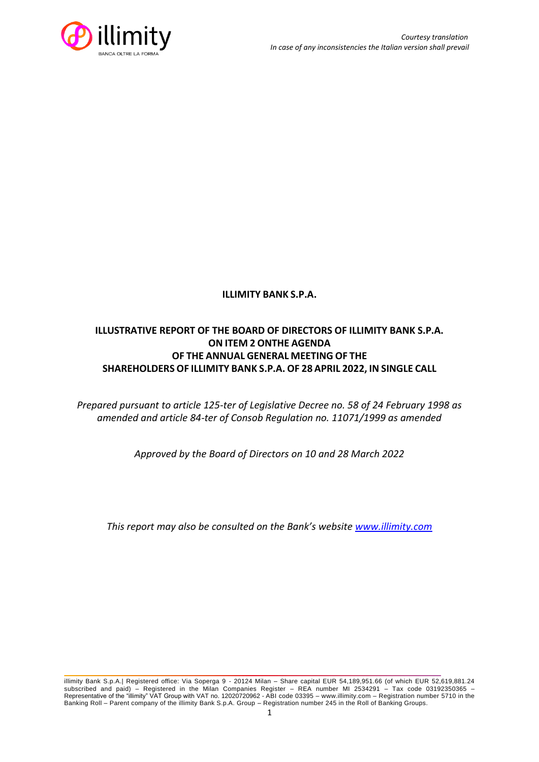

## **ILLIMITY BANK S.P.A.**

# **ILLUSTRATIVE REPORT OF THE BOARD OF DIRECTORS OF ILLIMITY BANK S.P.A. ON ITEM 2 ONTHE AGENDA OF THE ANNUAL GENERAL MEETING OF THE SHAREHOLDERS OF ILLIMITY BANK S.P.A. OF 28 APRIL 2022, IN SINGLE CALL**

*Prepared pursuant to article 125-ter of Legislative Decree no. 58 of 24 February 1998 as amended and article 84-ter of Consob Regulation no. 11071/1999 as amended*

*Approved by the Board of Directors on 10 and 28 March 2022*

*This report may also be consulted on the Bank's website [www.illimity.com](http://www.illimity.com/)*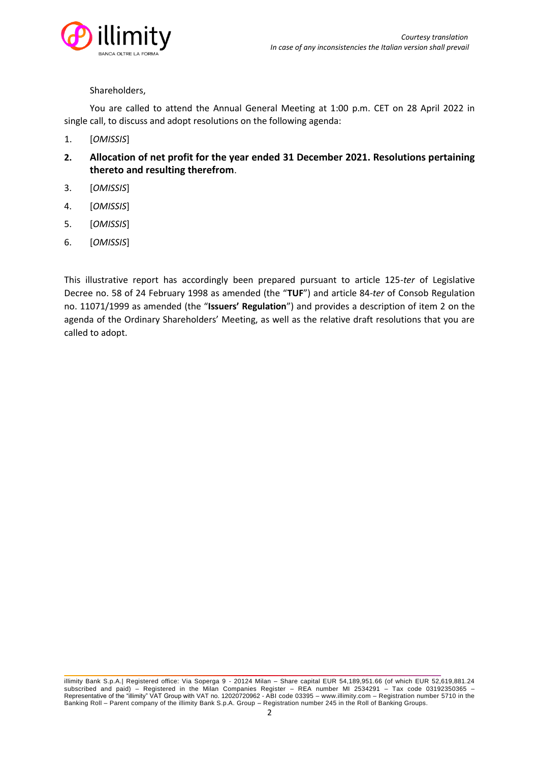

## Shareholders,

You are called to attend the Annual General Meeting at 1:00 p.m. CET on 28 April 2022 in single call, to discuss and adopt resolutions on the following agenda:

- 1. [*OMISSIS*]
- **2. Allocation of net profit for the year ended 31 December 2021. Resolutions pertaining thereto and resulting therefrom**.
- 3. [*OMISSIS*]
- 4. [*OMISSIS*]
- 5. [*OMISSIS*]
- 6. [*OMISSIS*]

This illustrative report has accordingly been prepared pursuant to article 125-*ter* of Legislative Decree no. 58 of 24 February 1998 as amended (the "**TUF**") and article 84-*ter* of Consob Regulation no. 11071/1999 as amended (the "**Issuers' Regulation**") and provides a description of item 2 on the agenda of the Ordinary Shareholders' Meeting, as well as the relative draft resolutions that you are called to adopt.

illimity Bank S.p.A.| Registered office: Via Soperga 9 - 20124 Milan – Share capital EUR 54,189,951.66 (of which EUR 52,619,881.24 subscribed and paid) – Registered in the Milan Companies Register – REA number MI 2534291 – Tax code 03192350365 – Representative of the "illimity" VAT Group with VAT no. 12020720962 - ABI code 03395 – [www.illimity.com](http://www.illimity.com/) – Registration number 5710 in the Banking Roll – Parent company of the illimity Bank S.p.A. Group – Registration number 245 in the Roll of Banking Groups.